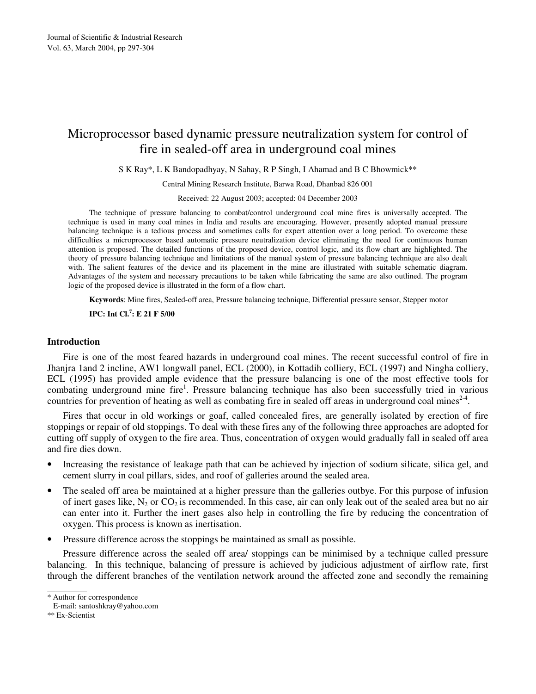# Microprocessor based dynamic pressure neutralization system for control of fire in sealed-off area in underground coal mines

S K Ray\*, L K Bandopadhyay, N Sahay, R P Singh, I Ahamad and B C Bhowmick\*\*

Central Mining Research Institute, Barwa Road, Dhanbad 826 001

Received: 22 August 2003; accepted: 04 December 2003

The technique of pressure balancing to combat/control underground coal mine fires is universally accepted. The technique is used in many coal mines in India and results are encouraging. However, presently adopted manual pressure balancing technique is a tedious process and sometimes calls for expert attention over a long period. To overcome these difficulties a microprocessor based automatic pressure neutralization device eliminating the need for continuous human attention is proposed. The detailed functions of the proposed device, control logic, and its flow chart are highlighted. The theory of pressure balancing technique and limitations of the manual system of pressure balancing technique are also dealt with. The salient features of the device and its placement in the mine are illustrated with suitable schematic diagram. Advantages of the system and necessary precautions to be taken while fabricating the same are also outlined. The program logic of the proposed device is illustrated in the form of a flow chart.

**Keywords**: Mine fires, Sealed-off area, Pressure balancing technique, Differential pressure sensor, Stepper motor

**IPC: Int Cl.<sup>7</sup> : E 21 F 5/00** 

# **Introduction**

Fire is one of the most feared hazards in underground coal mines. The recent successful control of fire in Jhanjra 1and 2 incline, AW1 longwall panel, ECL (2000), in Kottadih colliery, ECL (1997) and Ningha colliery, ECL (1995) has provided ample evidence that the pressure balancing is one of the most effective tools for combating underground mine fire<sup>1</sup>. Pressure balancing technique has also been successfully tried in various countries for prevention of heating as well as combating fire in sealed off areas in underground coal mines $2-4$ .

Fires that occur in old workings or goaf, called concealed fires, are generally isolated by erection of fire stoppings or repair of old stoppings. To deal with these fires any of the following three approaches are adopted for cutting off supply of oxygen to the fire area. Thus, concentration of oxygen would gradually fall in sealed off area and fire dies down.

- Increasing the resistance of leakage path that can be achieved by injection of sodium silicate, silica gel, and cement slurry in coal pillars, sides, and roof of galleries around the sealed area.
- The sealed off area be maintained at a higher pressure than the galleries outbye. For this purpose of infusion of inert gases like,  $N_2$  or  $CO_2$  is recommended. In this case, air can only leak out of the sealed area but no air can enter into it. Further the inert gases also help in controlling the fire by reducing the concentration of oxygen. This process is known as inertisation.
- Pressure difference across the stoppings be maintained as small as possible.

Pressure difference across the sealed off area/ stoppings can be minimised by a technique called pressure balancing. In this technique, balancing of pressure is achieved by judicious adjustment of airflow rate, first through the different branches of the ventilation network around the affected zone and secondly the remaining

\_\_\_\_\_\_\_\_\_\_

<sup>\*</sup> Author for correspondence

E-mail: santoshkray@yahoo.com

<sup>\*\*</sup> Ex-Scientist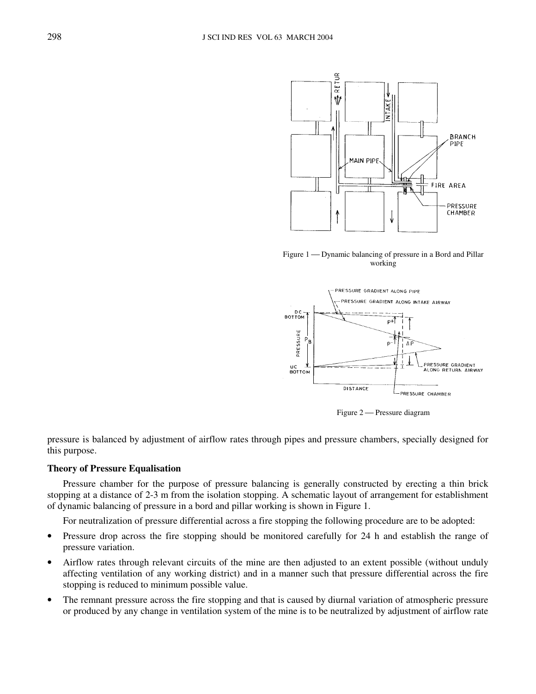

Figure 1 — Dynamic balancing of pressure in a Bord and Pillar working



Figure 2 – Pressure diagram

pressure is balanced by adjustment of airflow rates through pipes and pressure chambers, specially designed for this purpose.

# **Theory of Pressure Equalisation**

Pressure chamber for the purpose of pressure balancing is generally constructed by erecting a thin brick stopping at a distance of 2-3 m from the isolation stopping. A schematic layout of arrangement for establishment of dynamic balancing of pressure in a bord and pillar working is shown in Figure 1.

For neutralization of pressure differential across a fire stopping the following procedure are to be adopted:

- Pressure drop across the fire stopping should be monitored carefully for 24 h and establish the range of pressure variation.
- Airflow rates through relevant circuits of the mine are then adjusted to an extent possible (without unduly affecting ventilation of any working district) and in a manner such that pressure differential across the fire stopping is reduced to minimum possible value.
- The remnant pressure across the fire stopping and that is caused by diurnal variation of atmospheric pressure or produced by any change in ventilation system of the mine is to be neutralized by adjustment of airflow rate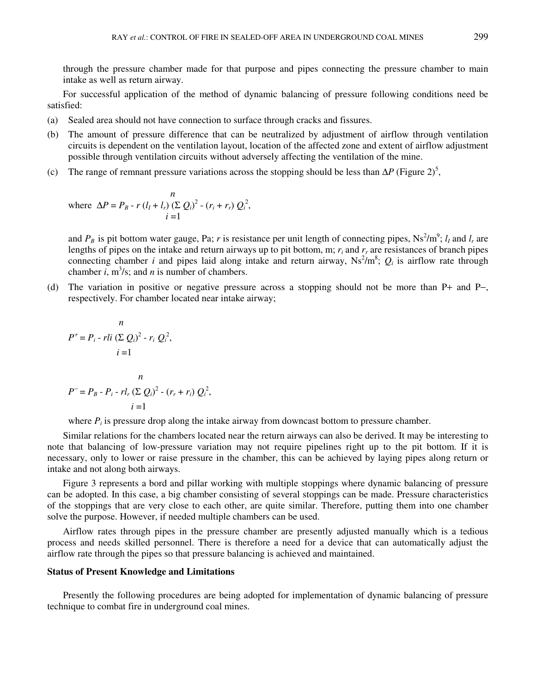through the pressure chamber made for that purpose and pipes connecting the pressure chamber to main intake as well as return airway.

For successful application of the method of dynamic balancing of pressure following conditions need be satisfied:

- (a) Sealed area should not have connection to surface through cracks and fissures.
- (b) The amount of pressure difference that can be neutralized by adjustment of airflow through ventilation circuits is dependent on the ventilation layout, location of the affected zone and extent of airflow adjustment possible through ventilation circuits without adversely affecting the ventilation of the mine.
- (c) The range of remnant pressure variations across the stopping should be less than  $\Delta P$  (Figure 2)<sup>5</sup>,

where 
$$
\Delta P = P_B - r (l_I + l_r) (\Sigma Q_i)^2 - (r_i + r_r) Q_i^2
$$
,  
\n $i = 1$ 

and  $P_B$  is pit bottom water gauge, Pa; *r* is resistance per unit length of connecting pipes, Ns<sup>2</sup>/m<sup>9</sup>;  $l_I$  and  $l_r$  are lengths of pipes on the intake and return airways up to pit bottom, m;  $r_i$  and  $r_r$  are resistances of branch pipes connecting chamber *i* and pipes laid along intake and return airway,  $Ns^2/m^8$ ;  $Q_i$  is airflow rate through chamber  $i$ ,  $m^3/s$ ; and  $n$  is number of chambers.

(d) The variation in positive or negative pressure across a stopping should not be more than P+ and P−, respectively. For chamber located near intake airway;

$$
n
$$
  
\n
$$
P^{+} = P_{i} - rli (\sum Q_{i})^{2} - r_{i} Q_{i}^{2},
$$
  
\n
$$
i = 1
$$
  
\n
$$
n
$$
  
\n
$$
P^{-} = P_{B} - P_{i} - r l_{r} (\sum Q_{i})^{2} - (r_{r} + r_{i}) Q_{i}^{2},
$$
  
\n
$$
i = 1
$$

where  $P_i$  is pressure drop along the intake airway from downcast bottom to pressure chamber.

Similar relations for the chambers located near the return airways can also be derived. It may be interesting to note that balancing of low-pressure variation may not require pipelines right up to the pit bottom. If it is necessary, only to lower or raise pressure in the chamber, this can be achieved by laying pipes along return or intake and not along both airways.

Figure 3 represents a bord and pillar working with multiple stoppings where dynamic balancing of pressure can be adopted. In this case, a big chamber consisting of several stoppings can be made. Pressure characteristics of the stoppings that are very close to each other, are quite similar. Therefore, putting them into one chamber solve the purpose. However, if needed multiple chambers can be used.

Airflow rates through pipes in the pressure chamber are presently adjusted manually which is a tedious process and needs skilled personnel. There is therefore a need for a device that can automatically adjust the airflow rate through the pipes so that pressure balancing is achieved and maintained.

## **Status of Present Knowledge and Limitations**

Presently the following procedures are being adopted for implementation of dynamic balancing of pressure technique to combat fire in underground coal mines.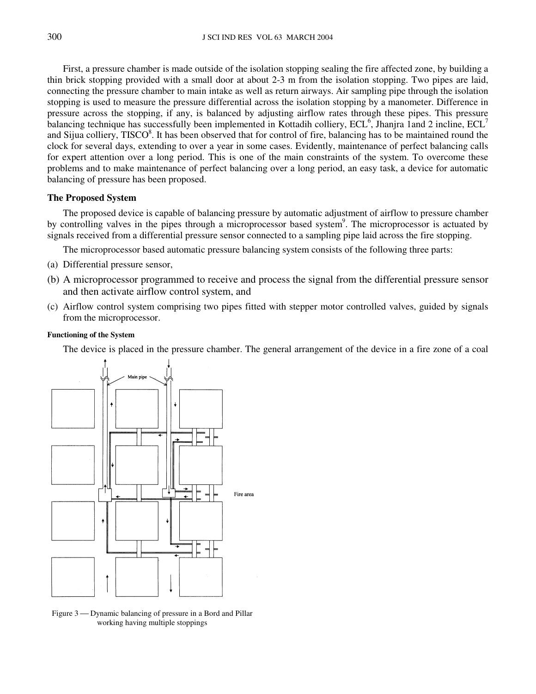First, a pressure chamber is made outside of the isolation stopping sealing the fire affected zone, by building a thin brick stopping provided with a small door at about 2-3 m from the isolation stopping. Two pipes are laid, connecting the pressure chamber to main intake as well as return airways. Air sampling pipe through the isolation stopping is used to measure the pressure differential across the isolation stopping by a manometer. Difference in pressure across the stopping, if any, is balanced by adjusting airflow rates through these pipes. This pressure balancing technique has successfully been implemented in Kottadih colliery,  $ECL^6$ , Jhanjra 1and 2 incline,  $ECL^7$ and Sijua colliery,  $TISCO^8$ . It has been observed that for control of fire, balancing has to be maintained round the clock for several days, extending to over a year in some cases. Evidently, maintenance of perfect balancing calls for expert attention over a long period. This is one of the main constraints of the system. To overcome these problems and to make maintenance of perfect balancing over a long period, an easy task, a device for automatic balancing of pressure has been proposed.

# **The Proposed System**

The proposed device is capable of balancing pressure by automatic adjustment of airflow to pressure chamber by controlling valves in the pipes through a microprocessor based system<sup>9</sup>. The microprocessor is actuated by signals received from a differential pressure sensor connected to a sampling pipe laid across the fire stopping.

The microprocessor based automatic pressure balancing system consists of the following three parts:

- (a) Differential pressure sensor,
- (b) A microprocessor programmed to receive and process the signal from the differential pressure sensor and then activate airflow control system, and
- (c) Airflow control system comprising two pipes fitted with stepper motor controlled valves, guided by signals from the microprocessor.

### **Functioning of the System**

The device is placed in the pressure chamber. The general arrangement of the device in a fire zone of a coal



Figure 3 - Dynamic balancing of pressure in a Bord and Pillar working having multiple stoppings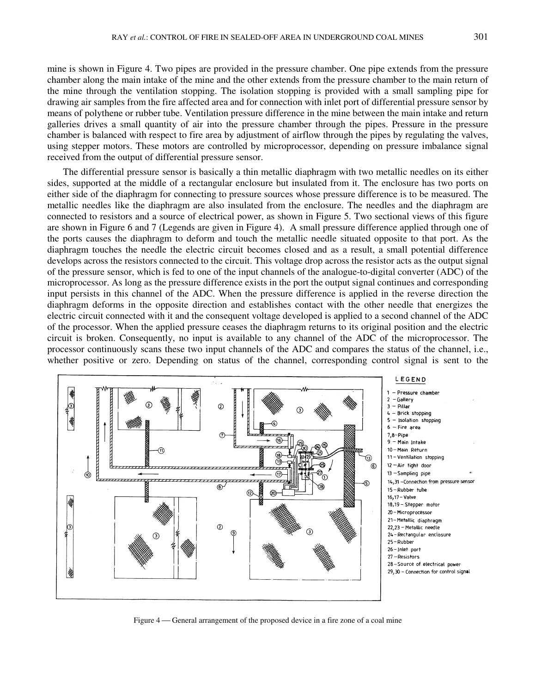mine is shown in Figure 4. Two pipes are provided in the pressure chamber. One pipe extends from the pressure chamber along the main intake of the mine and the other extends from the pressure chamber to the main return of the mine through the ventilation stopping. The isolation stopping is provided with a small sampling pipe for drawing air samples from the fire affected area and for connection with inlet port of differential pressure sensor by means of polythene or rubber tube. Ventilation pressure difference in the mine between the main intake and return galleries drives a small quantity of air into the pressure chamber through the pipes. Pressure in the pressure chamber is balanced with respect to fire area by adjustment of airflow through the pipes by regulating the valves, using stepper motors. These motors are controlled by microprocessor, depending on pressure imbalance signal received from the output of differential pressure sensor.

The differential pressure sensor is basically a thin metallic diaphragm with two metallic needles on its either sides, supported at the middle of a rectangular enclosure but insulated from it. The enclosure has two ports on either side of the diaphragm for connecting to pressure sources whose pressure difference is to be measured. The metallic needles like the diaphragm are also insulated from the enclosure. The needles and the diaphragm are connected to resistors and a source of electrical power, as shown in Figure 5. Two sectional views of this figure are shown in Figure 6 and 7 (Legends are given in Figure 4). A small pressure difference applied through one of the ports causes the diaphragm to deform and touch the metallic needle situated opposite to that port. As the diaphragm touches the needle the electric circuit becomes closed and as a result, a small potential difference develops across the resistors connected to the circuit. This voltage drop across the resistor acts as the output signal of the pressure sensor, which is fed to one of the input channels of the analogue-to-digital converter (ADC) of the microprocessor. As long as the pressure difference exists in the port the output signal continues and corresponding input persists in this channel of the ADC. When the pressure difference is applied in the reverse direction the diaphragm deforms in the opposite direction and establishes contact with the other needle that energizes the electric circuit connected with it and the consequent voltage developed is applied to a second channel of the ADC of the processor. When the applied pressure ceases the diaphragm returns to its original position and the electric circuit is broken. Consequently, no input is available to any channel of the ADC of the microprocessor. The processor continuously scans these two input channels of the ADC and compares the status of the channel, i.e., whether positive or zero. Depending on status of the channel, corresponding control signal is sent to the



Figure 4 — General arrangement of the proposed device in a fire zone of a coal mine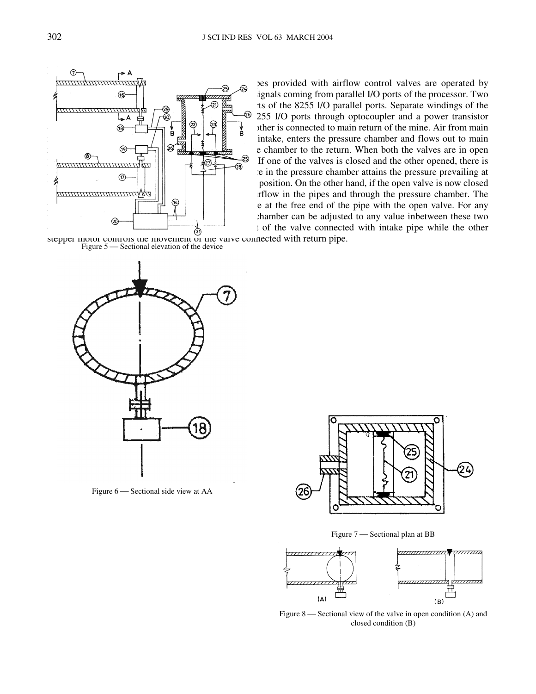the provided with airflow control valves are operated by  $\mathcal{F}$  ignals coming from parallel I/O ports of the processor. Two  $\frac{1}{2}$  and  $\frac{1}{2}$  are connected to the 8255 I/O parallel ports. Separate windings of the 255 I/O ports through optocoupler and a power transistor  $\bigoplus$   $\uparrow$   $\uparrow$   $\downarrow$   $\uparrow$   $\uparrow$   $\uparrow$   $\uparrow$   $\uparrow$   $\uparrow$   $\uparrow$   $\uparrow$   $\uparrow$   $\uparrow$   $\uparrow$   $\uparrow$   $\uparrow$   $\uparrow$   $\uparrow$   $\uparrow$   $\uparrow$   $\uparrow$   $\uparrow$   $\uparrow$   $\uparrow$   $\uparrow$   $\uparrow$   $\uparrow$   $\uparrow$   $\uparrow$   $\uparrow$   $\uparrow$   $\uparrow$   $\uparrow$   $\uparrow$   $\uparrow$   $\uparrow$  $\begin{bmatrix} 1 & 1 \end{bmatrix}$  intake, enters the pressure chamber and flows out to main  $\circled{r}$   $\circled{r}$   $\circled{r}$   $\circled{r}$   $\circled{r}$   $\circled{r}$   $\circled{r}$   $\circled{r}$   $\circled{r}$   $\circled{r}$   $\circled{r}$   $\circled{r}$   $\circled{r}$   $\circled{r}$   $\circled{r}$   $\circled{r}$   $\circled{r}$   $\circled{r}$   $\circled{r}$   $\circled{r}$   $\circled{r}$   $\circled{r}$   $\circled{r}$   $\circled{r}$   $\circled{$  $\lim_{n \to \infty}$  tone of the valves is closed and the other opened, there is no flow of air (Figure 8). In such situation the pressure in the pressure chamber attains the pressure prevailing at position. On the other hand, if the open valve is now closed and through the pressure chamber. The non-temperature will be no air flow in the pipes and through the pressure chamber. The e at the free end of the pipe with the open valve. For any  $\circledast$   $\overline{a}$   $\overline{b}$   $\overline{b}$   $\overline{c}$   $\overline{c}$   $\overline{d}$   $\overline{d}$   $\overline{d}$   $\overline{d}$   $\overline{d}$   $\overline{d}$   $\overline{d}$   $\overline{d}$   $\overline{d}$   $\overline{d}$   $\overline{d}$   $\overline{d}$   $\overline{d}$   $\overline{d}$   $\overline{d}$   $\overline{d}$   $\overline{d}$   $\overline{d}$   $\overline{d}$  $\overrightarrow{\omega}$  controls the valve connected with intake pipe while the other

stepper motor controls the movement of the valve connected with return pipe. Figure 5 — Sectional elevation of the device



Figure 6 — Sectional side view at AA



Figure 7 – Sectional plan at BB



Figure 8 — Sectional view of the valve in open condition  $(A)$  and closed condition (B)

 $\widehat{D}$  and  $\widehat{A}$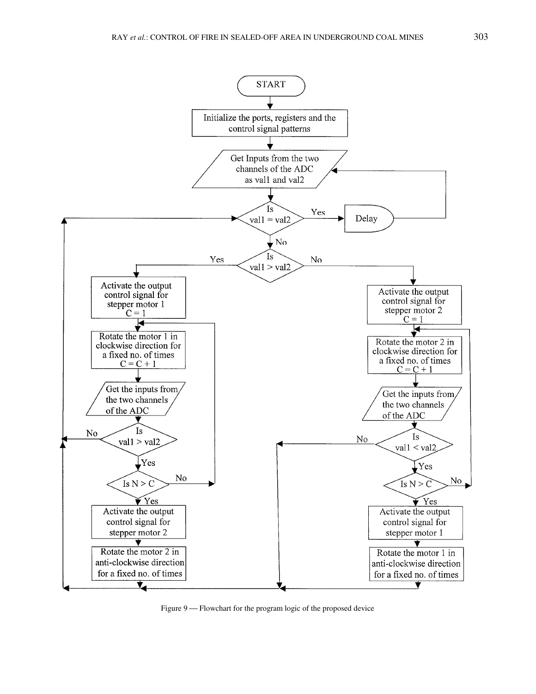

Figure 9 — Flowchart for the program logic of the proposed device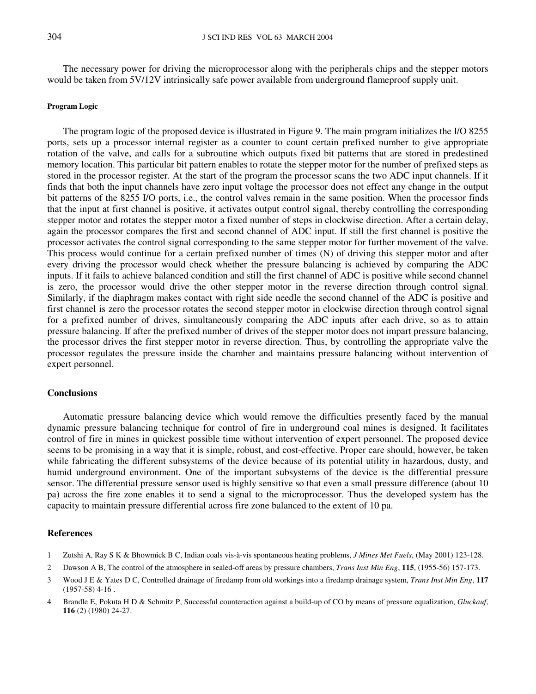The necessary power for driving the microprocessor along with the peripherals chips and the stepper motors would be taken from 5V/12V intrinsically safe power available from underground flameproof supply unit.

## **Program Logic**

The program logic of the proposed device is illustrated in Figure 9. The main program initializes the I/O 8255 ports, sets up a processor internal register as a counter to count certain prefixed number to give appropriate rotation of the valve, and calls for a subroutine which outputs fixed bit patterns that are stored in predestined memory location. This particular bit pattern enables to rotate the stepper motor for the number of prefixed steps as stored in the processor register. At the start of the program the processor scans the two ADC input channels. If it finds that both the input channels have zero input voltage the processor does not effect any change in the output bit patterns of the 8255 I/O ports, i.e., the control valves remain in the same position. When the processor finds that the input at first channel is positive, it activates output control signal, thereby controlling the corresponding stepper motor and rotates the stepper motor a fixed number of steps in clockwise direction. After a certain delay, again the processor compares the first and second channel of ADC input. If still the first channel is positive the processor activates the control signal corresponding to the same stepper motor for further movement of the valve. This process would continue for a certain prefixed number of times (N) of driving this stepper motor and after every driving the processor would check whether the pressure balancing is achieved by comparing the ADC inputs. If it fails to achieve balanced condition and still the first channel of ADC is positive while second channel is zero, the processor would drive the other stepper motor in the reverse direction through control signal. Similarly, if the diaphragm makes contact with right side needle the second channel of the ADC is positive and first channel is zero the processor rotates the second stepper motor in clockwise direction through control signal for a prefixed number of drives, simultaneously comparing the ADC inputs after each drive, so as to attain pressure balancing. If after the prefixed number of drives of the stepper motor does not impart pressure balancing, the processor drives the first stepper motor in reverse direction. Thus, by controlling the appropriate valve the processor regulates the pressure inside the chamber and maintains pressure balancing without intervention of expert personnel.

### **Conclusions**

Automatic pressure balancing device which would remove the difficulties presently faced by the manual dynamic pressure balancing technique for control of fire in underground coal mines is designed. It facilitates control of fire in mines in quickest possible time without intervention of expert personnel. The proposed device seems to be promising in a way that it is simple, robust, and cost-effective. Proper care should, however, be taken while fabricating the different subsystems of the device because of its potential utility in hazardous, dusty, and humid underground environment. One of the important subsystems of the device is the differential pressure sensor. The differential pressure sensor used is highly sensitive so that even a small pressure difference (about 10 pa) across the fire zone enables it to send a signal to the microprocessor. Thus the developed system has the capacity to maintain pressure differential across fire zone balanced to the extent of 10 pa.

# **References**

- 1 Zutshi A, Ray S K & Bhowmick B C, Indian coals vis-à-vis spontaneous heating problems, *J Mines Met Fuels*, (May 2001) 123-128.
- 2 Dawson A B, The control of the atmosphere in sealed-off areas by pressure chambers, *Trans Inst Min Eng*, **115**, (1955-56) 157-173.
- 3 Wood J E & Yates D C, Controlled drainage of firedamp from old workings into a firedamp drainage system, *Trans Inst Min Eng*, **117**  $(1957-58)$  4-16.
- 4 Brandle E, Pokuta H D & Schmitz P, Successful counteraction against a build-up of CO by means of pressure equalization, *Gluckauf*, **116** (2) (1980) 24-27.